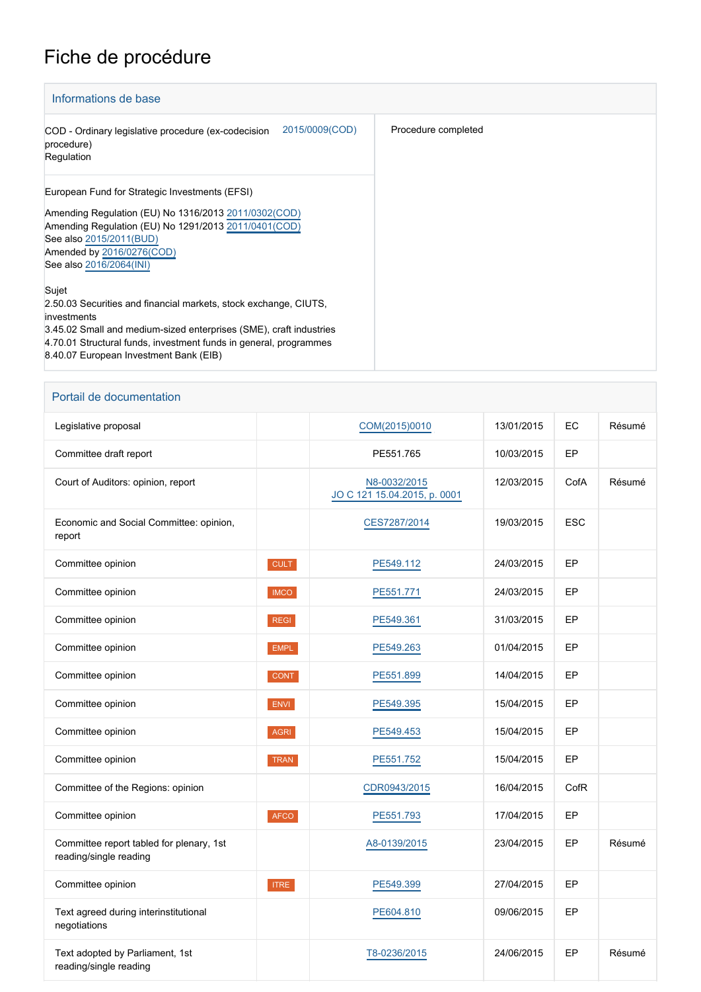## Fiche de procédure

| Informations de base                                                                                                                                                                                                                                                          |                     |
|-------------------------------------------------------------------------------------------------------------------------------------------------------------------------------------------------------------------------------------------------------------------------------|---------------------|
| 2015/0009(COD)<br>COD - Ordinary legislative procedure (ex-codecision<br>procedure)<br>Regulation                                                                                                                                                                             | Procedure completed |
| European Fund for Strategic Investments (EFSI)<br>Amending Regulation (EU) No 1316/2013 2011/0302(COD)<br>Amending Regulation (EU) No 1291/2013 2011/0401 (COD)<br>See also 2015/2011(BUD)<br>Amended by 2016/0276(COD)<br>See also 2016/2064(INI)                            |                     |
| Sujet<br>2.50.03 Securities and financial markets, stock exchange, CIUTS,<br>investments<br>3.45.02 Small and medium-sized enterprises (SME), craft industries<br>4.70.01 Structural funds, investment funds in general, programmes<br>8.40.07 European Investment Bank (EIB) |                     |

## Portail de documentation

| Legislative proposal                                               |             | COM(2015)0010                                | 13/01/2015 | EC         | Résumé |
|--------------------------------------------------------------------|-------------|----------------------------------------------|------------|------------|--------|
| Committee draft report                                             |             | PE551.765                                    | 10/03/2015 | EP         |        |
| Court of Auditors: opinion, report                                 |             | N8-0032/2015<br>JO C 121 15.04.2015, p. 0001 | 12/03/2015 | CofA       | Résumé |
| Economic and Social Committee: opinion,<br>report                  |             | CES7287/2014                                 | 19/03/2015 | <b>ESC</b> |        |
| Committee opinion                                                  | <b>CULT</b> | PE549.112                                    | 24/03/2015 | EP         |        |
| Committee opinion                                                  | <b>IMCO</b> | PE551.771                                    | 24/03/2015 | EP         |        |
| Committee opinion                                                  | <b>REGI</b> | PE549.361                                    | 31/03/2015 | EP         |        |
| Committee opinion                                                  | <b>EMPL</b> | PE549.263                                    | 01/04/2015 | EP         |        |
| Committee opinion                                                  | CONT        | PE551.899                                    | 14/04/2015 | EP         |        |
| Committee opinion                                                  | ENVI        | PE549.395                                    | 15/04/2015 | EP         |        |
| Committee opinion                                                  | <b>AGRI</b> | PE549.453                                    | 15/04/2015 | EP         |        |
| Committee opinion                                                  | TRAN        | PE551.752                                    | 15/04/2015 | EP         |        |
| Committee of the Regions: opinion                                  |             | CDR0943/2015                                 | 16/04/2015 | CofR       |        |
| Committee opinion                                                  | AFCO        | PE551.793                                    | 17/04/2015 | EP         |        |
| Committee report tabled for plenary, 1st<br>reading/single reading |             | A8-0139/2015                                 | 23/04/2015 | EP         | Résumé |
| Committee opinion                                                  | <b>ITRE</b> | PE549.399                                    | 27/04/2015 | EP         |        |
| Text agreed during interinstitutional<br>negotiations              |             | PE604.810                                    | 09/06/2015 | EP         |        |
| Text adopted by Parliament, 1st<br>reading/single reading          |             | T8-0236/2015                                 | 24/06/2015 | EP         | Résumé |